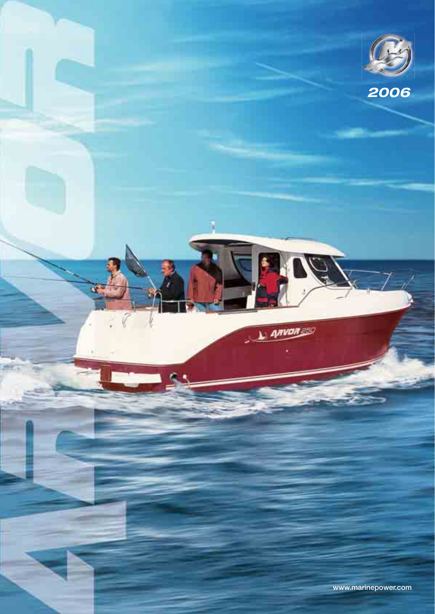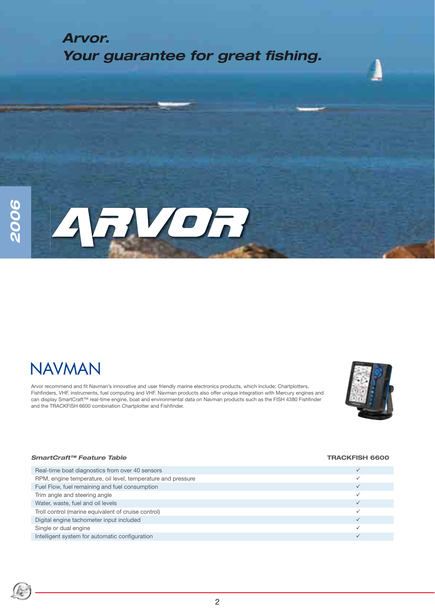## **RVOR**  $\Delta$

## **NAVMAN**

Arvor recommend and fit Navman's innovative and user friendly marine electronics products, which include; Chartplotters, Fishfinders, VHF, instruments, fuel computing and VHF. Navman products also offer unique integration with Mercury engines and can display SmartCraft™ real-time engine, boat and environmental data on Navman products such as the FISH 4380 Fishfi nder and the TRACKFISH 6600 combination Chartplotter and Fishfinder.



#### *SmartCraft™ Feature Table* **TRACKFISH 6600**

| Real-time boat diagnostics from over 40 sensors              |  |
|--------------------------------------------------------------|--|
| RPM, engine temperature, oil level, temperature and pressure |  |
| Fuel Flow, fuel remaining and fuel consumption               |  |
| Trim angle and steering angle                                |  |
| Water, waste, fuel and oil levels                            |  |
| Troll control (marine equivalent of cruise control)          |  |
| Digital engine tachometer input included                     |  |
| Single or dual engine                                        |  |
| Intelligent system for automatic configuration               |  |
|                                                              |  |

### 2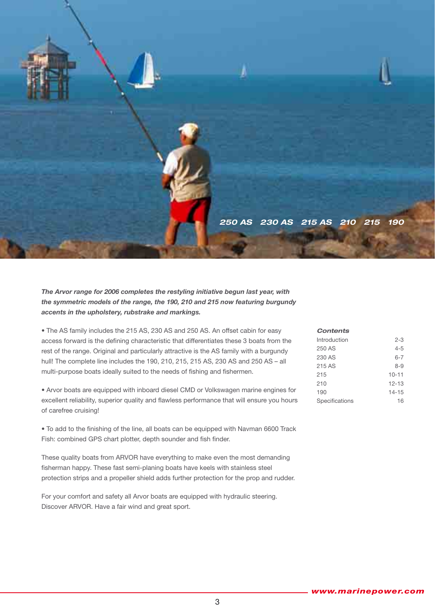

### *The Arvor range for 2006 completes the restyling initiative begun last year, with the symmetric models of the range, the 190, 210 and 215 now featuring burgundy accents in the upholstery, rubstrake and markings.*

• The AS family includes the 215 AS, 230 AS and 250 AS. An offset cabin for easy access forward is the defining characteristic that differentiates these 3 boats from the rest of the range. Original and particularly attractive is the AS family with a burgundy hull! The complete line includes the 190, 210, 215, 215 AS, 230 AS and 250 AS – all multi-purpose boats ideally suited to the needs of fishing and fishermen.

• Arvor boats are equipped with inboard diesel CMD or Volkswagen marine engines for excellent reliability, superior quality and flawless performance that will ensure you hours of carefree cruising!

• To add to the finishing of the line, all boats can be equipped with Navman 6600 Track Fish: combined GPS chart plotter, depth sounder and fish finder.

These quality boats from ARVOR have everything to make even the most demanding fisherman happy. These fast semi-planing boats have keels with stainless steel protection strips and a propeller shield adds further protection for the prop and rudder.

For your comfort and safety all Arvor boats are equipped with hydraulic steering. Discover ARVOR. Have a fair wind and great sport.

| <b>Contents</b> |           |
|-----------------|-----------|
| Introduction    | $2 - 3$   |
| 250 AS          | $4 - 5$   |
| 230 AS          | $6 - 7$   |
| 215 AS          | $8 - 9$   |
| 215             | $10 - 11$ |
| 210             | $12 - 13$ |
| 190             | $14 - 15$ |
| Specifications  | 16        |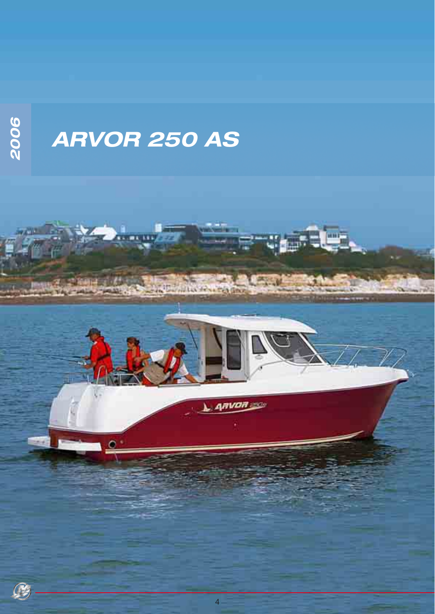2006

## **ARVOR 250 AS**

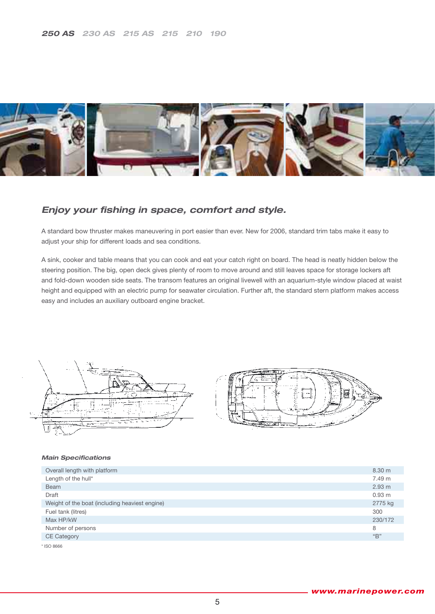

### **Enjoy your fishing in space, comfort and style.**

A standard bow thruster makes maneuvering in port easier than ever. New for 2006, standard trim tabs make it easy to adjust your ship for different loads and sea conditions.

A sink, cooker and table means that you can cook and eat your catch right on board. The head is neatly hidden below the steering position. The big, open deck gives plenty of room to move around and still leaves space for storage lockers aft and fold-down wooden side seats. The transom features an original livewell with an aquarium-style window placed at waist height and equipped with an electric pump for seawater circulation. Further aft, the standard stern platform makes access easy and includes an auxiliary outboard engine bracket.





| Overall length with platform                   | 8.30 <sub>m</sub> |
|------------------------------------------------|-------------------|
| Length of the hull*                            | 7.49 m            |
| Beam                                           | 2.93 m            |
| Draft                                          | 0.93 m            |
| Weight of the boat (including heaviest engine) | 2775 kg           |
| Fuel tank (litres)                             | 300               |
| Max HP/kW                                      | 230/172           |
| Number of persons                              | 8                 |
| <b>CE Category</b>                             | "B"               |
| * ISO 8666                                     |                   |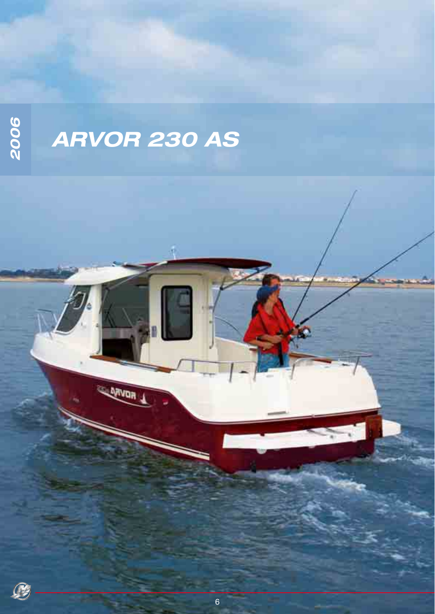2006

# ARVOR 230 AS

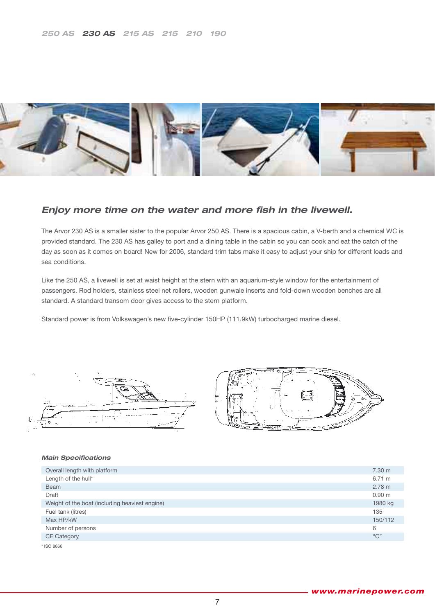

### *Enjoy more time on the water and more fish in the livewell.*

The Arvor 230 AS is a smaller sister to the popular Arvor 250 AS. There is a spacious cabin, a V-berth and a chemical WC is provided standard. The 230 AS has galley to port and a dining table in the cabin so you can cook and eat the catch of the day as soon as it comes on board! New for 2006, standard trim tabs make it easy to adjust your ship for different loads and sea conditions.

Like the 250 AS, a livewell is set at waist height at the stern with an aquarium-style window for the entertainment of passengers. Rod holders, stainless steel net rollers, wooden gunwale inserts and fold-down wooden benches are all standard. A standard transom door gives access to the stern platform.

Standard power is from Volkswagen's new five-cylinder 150HP (111.9kW) turbocharged marine diesel.





| Overall length with platform                   | 7.30 <sub>m</sub> |
|------------------------------------------------|-------------------|
| Length of the hull*                            | 6.71 m            |
| <b>Beam</b>                                    | 2.78 m            |
| Draft                                          | 0.90 <sub>m</sub> |
| Weight of the boat (including heaviest engine) | 1980 kg           |
| Fuel tank (litres)                             | 135               |
| Max HP/kW                                      | 150/112           |
| Number of persons                              | 6                 |
| <b>CE Category</b>                             | "C"               |
| * ISO 8666                                     |                   |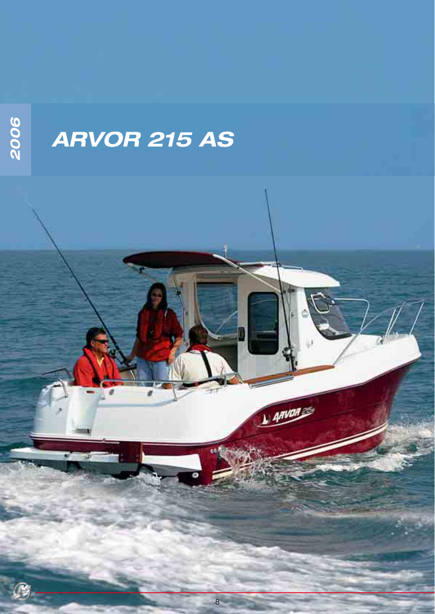## **ARVOR 215 AS**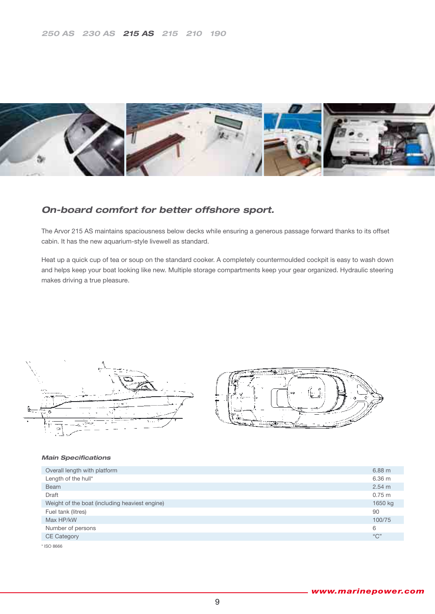

## *On-board comfort for better offshore sport.*

The Arvor 215 AS maintains spaciousness below decks while ensuring a generous passage forward thanks to its offset cabin. It has the new aquarium-style livewell as standard.

Heat up a quick cup of tea or soup on the standard cooker. A completely countermoulded cockpit is easy to wash down and helps keep your boat looking like new. Multiple storage compartments keep your gear organized. Hydraulic steering makes driving a true pleasure.





| Overall length with platform                   | $6.88$ m    |
|------------------------------------------------|-------------|
| Length of the hull*                            | 6.36 m      |
| Beam                                           | 2.54 m      |
| Draft                                          | $0.75 \; m$ |
| Weight of the boat (including heaviest engine) | 1650 kg     |
| Fuel tank (litres)                             | 90          |
| Max HP/kW                                      | 100/75      |
| Number of persons                              | 6           |
| <b>CE Category</b>                             | "C"         |
| * ISO 8666                                     |             |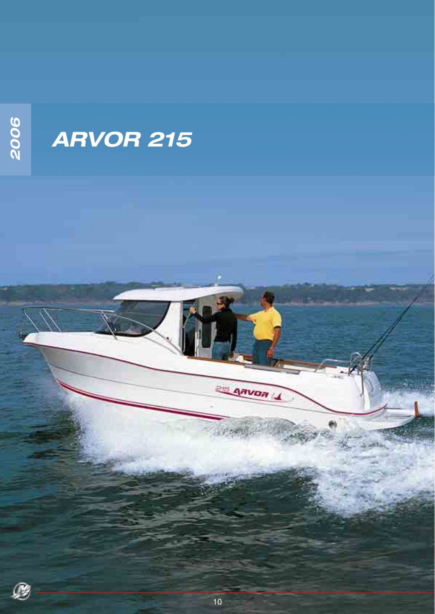

## *ARVOR 215*



ARVOR L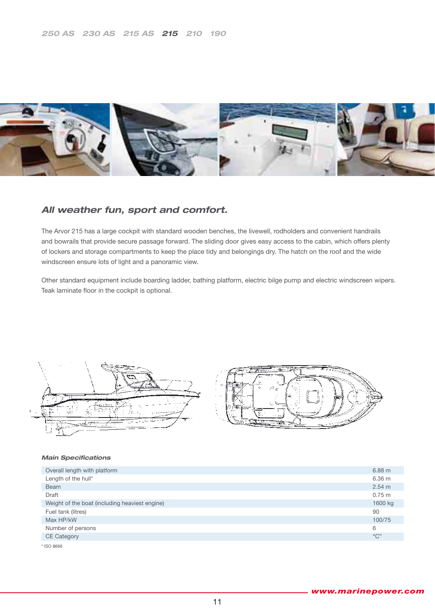

### *All weather fun, sport and comfort.*

The Arvor 215 has a large cockpit with standard wooden benches, the livewell, rodholders and convenient handrails and bowrails that provide secure passage forward. The sliding door gives easy access to the cabin, which offers plenty of lockers and storage compartments to keep the place tidy and belongings dry. The hatch on the roof and the wide windscreen ensure lots of light and a panoramic view.

Other standard equipment include boarding ladder, bathing platform, electric bilge pump and electric windscreen wipers. Teak laminate floor in the cockpit is optional.





| Overall length with platform                   | $6.88$ m    |
|------------------------------------------------|-------------|
| Length of the hull*                            | 6.36 m      |
| <b>Beam</b>                                    | 2.54 m      |
| Draft                                          | $0.75 \; m$ |
| Weight of the boat (including heaviest engine) | 1600 kg     |
| Fuel tank (litres)                             | 90          |
| Max HP/kW                                      | 100/75      |
| Number of persons                              | 6           |
| <b>CE Category</b>                             | "C"         |
| * ISO 8666                                     |             |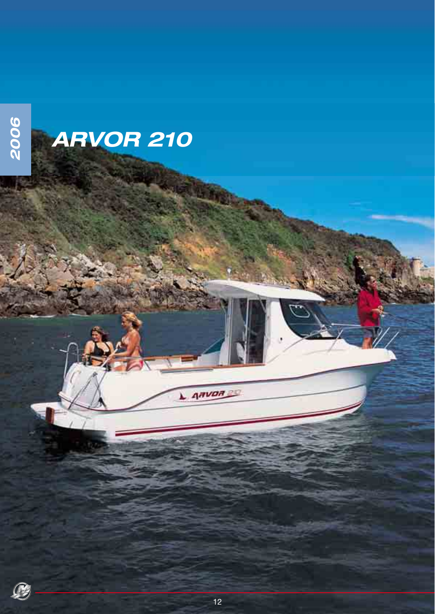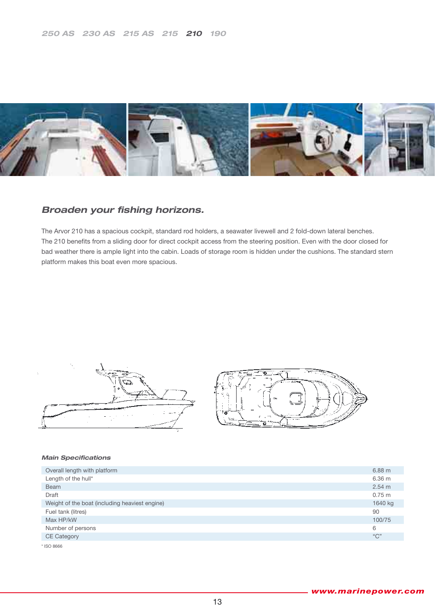

### **Broaden your fishing horizons.**

The Arvor 210 has a spacious cockpit, standard rod holders, a seawater livewell and 2 fold-down lateral benches. The 210 benefits from a sliding door for direct cockpit access from the steering position. Even with the door closed for bad weather there is ample light into the cabin. Loads of storage room is hidden under the cushions. The standard stern platform makes this boat even more spacious.





| Overall length with platform                   | $6.88$ m    |
|------------------------------------------------|-------------|
| Length of the hull*                            | 6.36 m      |
| <b>Beam</b>                                    | 2.54 m      |
| Draft                                          | $0.75 \; m$ |
| Weight of the boat (including heaviest engine) | 1640 kg     |
| Fuel tank (litres)                             | 90          |
| Max HP/kW                                      | 100/75      |
| Number of persons                              | 6           |
| <b>CE Category</b>                             | "C"         |
| * ISO 8666                                     |             |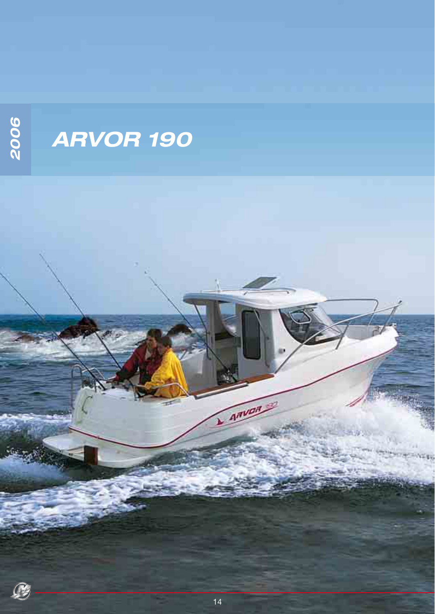

P

## *ARVOR 190*

ARVI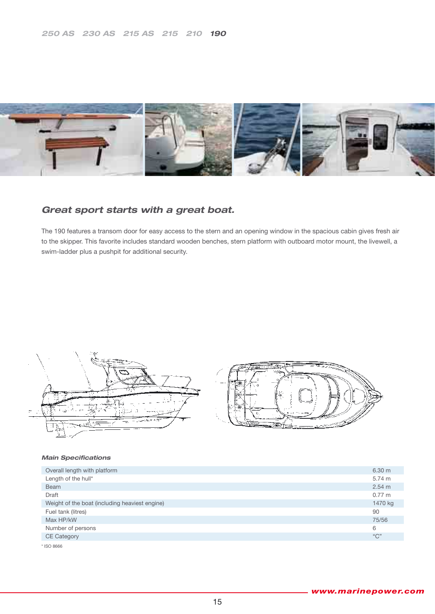

### *Great sport starts with a great boat.*

The 190 features a transom door for easy access to the stern and an opening window in the spacious cabin gives fresh air to the skipper. This favorite includes standard wooden benches, stern platform with outboard motor mount, the livewell, a swim-ladder plus a pushpit for additional security.



| Overall length with platform                   | 6.30 <sub>m</sub> |
|------------------------------------------------|-------------------|
| Length of the hull*                            | 5.74 m            |
| <b>Beam</b>                                    | 2.54 m            |
| Draft                                          | $0.77 \;{\rm m}$  |
| Weight of the boat (including heaviest engine) | 1470 kg           |
| Fuel tank (litres)                             | 90                |
| Max HP/kW                                      | 75/56             |
| Number of persons                              | 6                 |
| <b>CE Category</b>                             | "C"               |
| * ISO 8666                                     |                   |